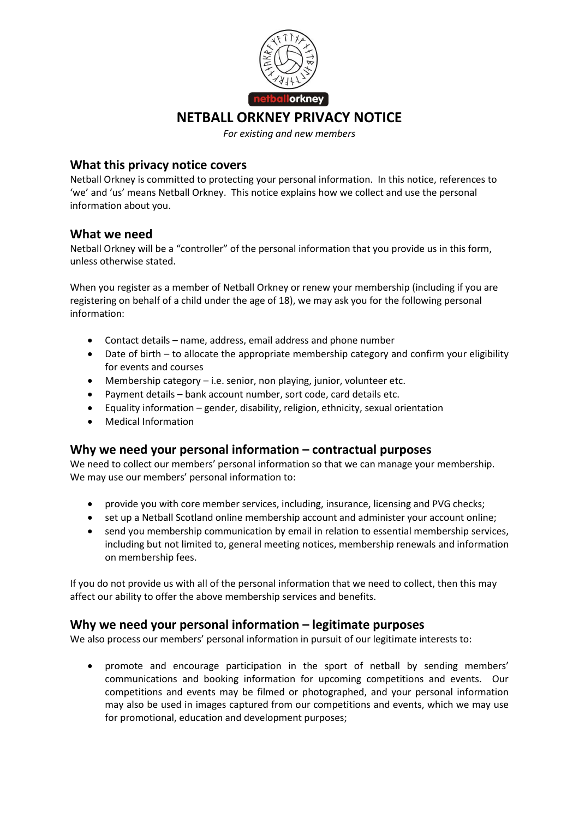

*For existing and new members*

### **What this privacy notice covers**

Netball Orkney is committed to protecting your personal information. In this notice, references to 'we' and 'us' means Netball Orkney. This notice explains how we collect and use the personal information about you.

## **What we need**

Netball Orkney will be a "controller" of the personal information that you provide us in this form, unless otherwise stated.

When you register as a member of Netball Orkney or renew your membership (including if you are registering on behalf of a child under the age of 18), we may ask you for the following personal information:

- Contact details name, address, email address and phone number
- Date of birth to allocate the appropriate membership category and confirm your eligibility for events and courses
- Membership category i.e. senior, non playing, junior, volunteer etc.
- Payment details bank account number, sort code, card details etc.
- Equality information gender, disability, religion, ethnicity, sexual orientation
- Medical Information

#### **Why we need your personal information – contractual purposes**

We need to collect our members' personal information so that we can manage your membership. We may use our members' personal information to:

- provide you with core member services, including, insurance, licensing and PVG checks;
- set up a Netball Scotland online membership account and administer your account online;
- send you membership communication by email in relation to essential membership services, including but not limited to, general meeting notices, membership renewals and information on membership fees.

If you do not provide us with all of the personal information that we need to collect, then this may affect our ability to offer the above membership services and benefits.

#### **Why we need your personal information – legitimate purposes**

We also process our members' personal information in pursuit of our legitimate interests to:

 promote and encourage participation in the sport of netball by sending members' communications and booking information for upcoming competitions and events. Our competitions and events may be filmed or photographed, and your personal information may also be used in images captured from our competitions and events, which we may use for promotional, education and development purposes;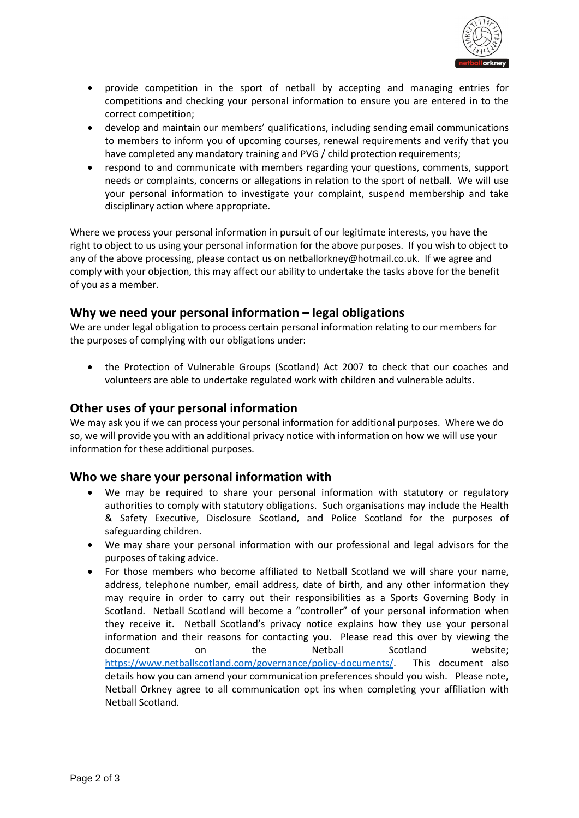

- provide competition in the sport of netball by accepting and managing entries for competitions and checking your personal information to ensure you are entered in to the correct competition;
- develop and maintain our members' qualifications, including sending email communications to members to inform you of upcoming courses, renewal requirements and verify that you have completed any mandatory training and PVG / child protection requirements;
- respond to and communicate with members regarding your questions, comments, support needs or complaints, concerns or allegations in relation to the sport of netball. We will use your personal information to investigate your complaint, suspend membership and take disciplinary action where appropriate.

Where we process your personal information in pursuit of our legitimate interests, you have the right to object to us using your personal information for the above purposes. If you wish to object to any of the above processing, please contact us on netballorkney@hotmail.co.uk. If we agree and comply with your objection, this may affect our ability to undertake the tasks above for the benefit of you as a member.

## **Why we need your personal information – legal obligations**

We are under legal obligation to process certain personal information relating to our members for the purposes of complying with our obligations under:

 the Protection of Vulnerable Groups (Scotland) Act 2007 to check that our coaches and volunteers are able to undertake regulated work with children and vulnerable adults.

#### **Other uses of your personal information**

We may ask you if we can process your personal information for additional purposes. Where we do so, we will provide you with an additional privacy notice with information on how we will use your information for these additional purposes.

#### **Who we share your personal information with**

- We may be required to share your personal information with statutory or regulatory authorities to comply with statutory obligations. Such organisations may include the Health & Safety Executive, Disclosure Scotland, and Police Scotland for the purposes of safeguarding children.
- We may share your personal information with our professional and legal advisors for the purposes of taking advice.
- For those members who become affiliated to Netball Scotland we will share your name, address, telephone number, email address, date of birth, and any other information they may require in order to carry out their responsibilities as a Sports Governing Body in Scotland. Netball Scotland will become a "controller" of your personal information when they receive it. Netball Scotland's privacy notice explains how they use your personal information and their reasons for contacting you. Please read this over by viewing the document on the Netball Scotland website; [https://www.netballscotland.com/governance/policy-documents/.](https://www.netballscotland.com/governance/policy-documents/) This document also details how you can amend your communication preferences should you wish. Please note, Netball Orkney agree to all communication opt ins when completing your affiliation with Netball Scotland.